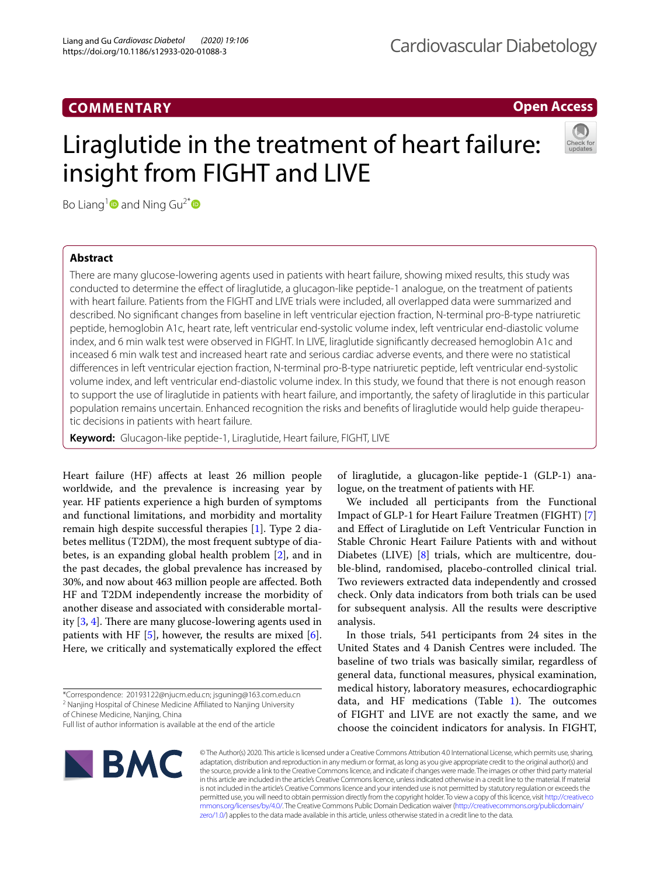# **COMMENTARY**

# **Open Access**

# Liraglutide in the treatment of heart failure: insight from FIGHT and LIVE



Bo Liang<sup>1</sup> and Ning Gu<sup>2[\\*](http://orcid.org/0000-0003-0704-6768)</sup> **D** 

# **Abstract**

There are many glucose-lowering agents used in patients with heart failure, showing mixed results, this study was conducted to determine the efect of liraglutide, a glucagon-like peptide-1 analogue, on the treatment of patients with heart failure. Patients from the FIGHT and LIVE trials were included, all overlapped data were summarized and described. No signifcant changes from baseline in left ventricular ejection fraction, N-terminal pro-B-type natriuretic peptide, hemoglobin A1c, heart rate, left ventricular end-systolic volume index, left ventricular end-diastolic volume index, and 6 min walk test were observed in FIGHT. In LIVE, liraglutide signifcantly decreased hemoglobin A1c and inceased 6 min walk test and increased heart rate and serious cardiac adverse events, and there were no statistical diferences in left ventricular ejection fraction, N-terminal pro-B-type natriuretic peptide, left ventricular end-systolic volume index, and left ventricular end-diastolic volume index. In this study, we found that there is not enough reason to support the use of liraglutide in patients with heart failure, and importantly, the safety of liraglutide in this particular population remains uncertain. Enhanced recognition the risks and benefts of liraglutide would help guide therapeutic decisions in patients with heart failure.

**Keyword:** Glucagon-like peptide-1, Liraglutide, Heart failure, FIGHT, LIVE

Heart failure (HF) affects at least 26 million people worldwide, and the prevalence is increasing year by year. HF patients experience a high burden of symptoms and functional limitations, and morbidity and mortality remain high despite successful therapies [[1\]](#page-3-0). Type 2 diabetes mellitus (T2DM), the most frequent subtype of diabetes, is an expanding global health problem [\[2](#page-3-1)], and in the past decades, the global prevalence has increased by 30%, and now about 463 million people are afected. Both HF and T2DM independently increase the morbidity of another disease and associated with considerable mortality  $[3, 4]$  $[3, 4]$  $[3, 4]$  $[3, 4]$ . There are many glucose-lowering agents used in patients with HF  $[5]$  $[5]$ , however, the results are mixed  $[6]$  $[6]$ . Here, we critically and systematically explored the efect

**BMC** 

of liraglutide, a glucagon-like peptide-1 (GLP-1) analogue, on the treatment of patients with HF.

We included all perticipants from the Functional Impact of GLP-1 for Heart Failure Treatmen (FIGHT) [\[7](#page-3-6)] and Efect of Liraglutide on Left Ventricular Function in Stable Chronic Heart Failure Patients with and without Diabetes (LIVE) [[8\]](#page-3-7) trials, which are multicentre, double-blind, randomised, placebo-controlled clinical trial. Two reviewers extracted data independently and crossed check. Only data indicators from both trials can be used for subsequent analysis. All the results were descriptive analysis.

In those trials, 541 perticipants from 24 sites in the United States and 4 Danish Centres were included. The baseline of two trials was basically similar, regardless of general data, functional measures, physical examination, medical history, laboratory measures, echocardiographic data, and HF medications (Table  $1$ ). The outcomes of FIGHT and LIVE are not exactly the same, and we choose the coincident indicators for analysis. In FIGHT,



<sup>\*</sup>Correspondence: 20193122@njucm.edu.cn; jsguning@163.com.edu.cn <sup>2</sup> Nanjing Hospital of Chinese Medicine Affiliated to Nanjing University of Chinese Medicine, Nanjing, China

Full list of author information is available at the end of the article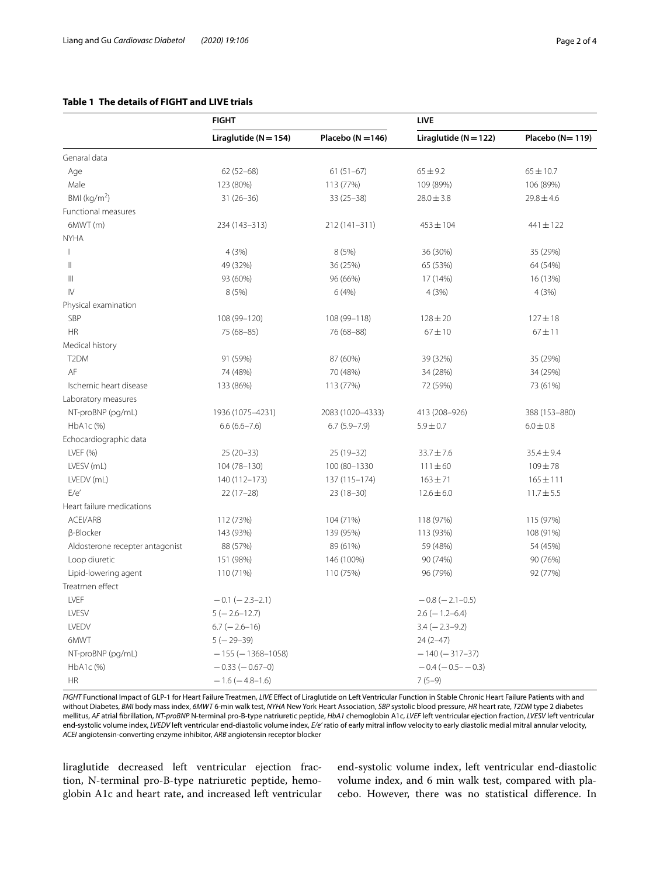# <span id="page-1-0"></span>**Table 1 The details of FIGHT and LIVE trials**

|                                 | <b>FIGHT</b>              |                       | LIVE                      |                  |
|---------------------------------|---------------------------|-----------------------|---------------------------|------------------|
|                                 | Liraglutide ( $N = 154$ ) | Placebo ( $N = 146$ ) | Liraglutide ( $N = 122$ ) | Placebo (N= 119) |
| Genaral data                    |                           |                       |                           |                  |
| Age                             | $62(52-68)$               | $61(51-67)$           | $65 \pm 9.2$              | $65 \pm 10.7$    |
| Male                            | 123 (80%)                 | 113 (77%)             | 109 (89%)                 | 106 (89%)        |
| BMI ( $kg/m2$ )                 | $31(26-36)$               | $33(25-38)$           | $28.0 \pm 3.8$            | $29.8 \pm 4.6$   |
| Functional measures             |                           |                       |                           |                  |
| 6MWT (m)                        | 234 (143-313)             | 212 (141-311)         | $453 \pm 104$             | $441 \pm 122$    |
| <b>NYHA</b>                     |                           |                       |                           |                  |
| $\mathbf{I}$                    | 4(3%)                     | 8(5%)                 | 36 (30%)                  | 35 (29%)         |
| $\mathbb{I}$                    | 49 (32%)                  | 36 (25%)              | 65 (53%)                  | 64 (54%)         |
| Ш                               | 93 (60%)                  | 96 (66%)              | 17 (14%)                  | 16 (13%)         |
| $\mathsf{IV}$                   | 8 (5%)                    | 6(4%)                 | 4(3%)                     | 4(3%)            |
| Physical examination            |                           |                       |                           |                  |
| SBP                             | 108 (99-120)              | 108 (99-118)          | $128 \pm 20$              | $127 \pm 18$     |
| <b>HR</b>                       | 75 (68-85)                | 76 (68-88)            | $67 + 10$                 | $67 + 11$        |
| Medical history                 |                           |                       |                           |                  |
| T <sub>2</sub> DM               | 91 (59%)                  | 87 (60%)              | 39 (32%)                  | 35 (29%)         |
| AF                              | 74 (48%)                  | 70 (48%)              | 34 (28%)                  | 34 (29%)         |
| Ischemic heart disease          | 133 (86%)                 | 113 (77%)             | 72 (59%)                  | 73 (61%)         |
| Laboratory measures             |                           |                       |                           |                  |
| NT-proBNP (pg/mL)               | 1936 (1075-4231)          | 2083 (1020-4333)      | 413 (208-926)             | 388 (153-880)    |
| HbA1c (%)                       | $6.6(6.6 - 7.6)$          | $6.7(5.9 - 7.9)$      | $5.9 \pm 0.7$             | $6.0 \pm 0.8$    |
| Echocardiographic data          |                           |                       |                           |                  |
| LVEF (%)                        | $25(20-33)$               | 25 (19-32)            | $33.7 \pm 7.6$            | $35.4 \pm 9.4$   |
| LVESV (mL)                      | 104 (78-130)              | 100 (80-1330          | $111 \pm 60$              | $109 + 78$       |
| LVEDV (mL)                      | 140 (112-173)             | 137 (115-174)         | $163 + 71$                | $165 \pm 111$    |
| E/e'                            | $22(17-28)$               | $23(18-30)$           | $12.6 \pm 6.0$            | $11.7 \pm 5.5$   |
| Heart failure medications       |                           |                       |                           |                  |
| ACEI/ARB                        | 112 (73%)                 | 104 (71%)             | 118 (97%)                 | 115 (97%)        |
| β-Blocker                       | 143 (93%)                 | 139 (95%)             | 113 (93%)                 | 108 (91%)        |
| Aldosterone recepter antagonist | 88 (57%)                  | 89 (61%)              | 59 (48%)                  | 54 (45%)         |
| Loop diuretic                   | 151 (98%)                 | 146 (100%)            | 90 (74%)                  | 90 (76%)         |
| Lipid-lowering agent            | 110 (71%)                 | 110 (75%)             | 96 (79%)                  | 92 (77%)         |
| Treatmen effect                 |                           |                       |                           |                  |
| LVEF                            | $-0.1$ ( $-2.3-2.1$ )     |                       | $-0.8$ ( $-2.1-0.5$ )     |                  |
| LVESV                           | $5(-2.6-12.7)$            |                       | $2.6$ (-1.2-6.4)          |                  |
| LVEDV                           | $6.7$ ( $-2.6-16$ )       |                       | $3.4 (-2.3 - 9.2)$        |                  |
| 6MWT                            | $5(-29-39)$               |                       | $24(2-47)$                |                  |
| NT-proBNP (pg/mL)               | $-155$ ( $-1368-1058$ )   |                       | $-140(-317-37)$           |                  |
| HbA1c (%)                       | $-0.33(-0.67-0)$          |                       | $-0.4(-0.5 - 0.3)$        |                  |
| <b>HR</b>                       | $-1.6(-4.8-1.6)$          |                       | $7(5-9)$                  |                  |

*FIGHT* Functional Impact of GLP-1 for Heart Failure Treatmen, *LIVE* Efect of Liraglutide on Left Ventricular Function in Stable Chronic Heart Failure Patients with and without Diabetes, *BMI* body mass index, *6MWT* 6-min walk test, *NYHA* New York Heart Association, *SBP* systolic blood pressure, *HR* heart rate, *T2DM* type 2 diabetes mellitus, *AF* atrial fbrillation, *NT-proBNP* N-terminal pro-B-type natriuretic peptide, *HbA1* chemoglobin A1c, *LVEF* left ventricular ejection fraction, *LVESV* left ventricular end-systolic volume index, *LVEDV* left ventricular end-diastolic volume index, *E/e'* ratio of early mitral infow velocity to early diastolic medial mitral annular velocity, *ACEI* angiotensin-converting enzyme inhibitor, *ARB* angiotensin receptor blocker

liraglutide decreased left ventricular ejection fraction, N-terminal pro-B-type natriuretic peptide, hemoglobin A1c and heart rate, and increased left ventricular end-systolic volume index, left ventricular end-diastolic volume index, and 6 min walk test, compared with placebo. However, there was no statistical diference. In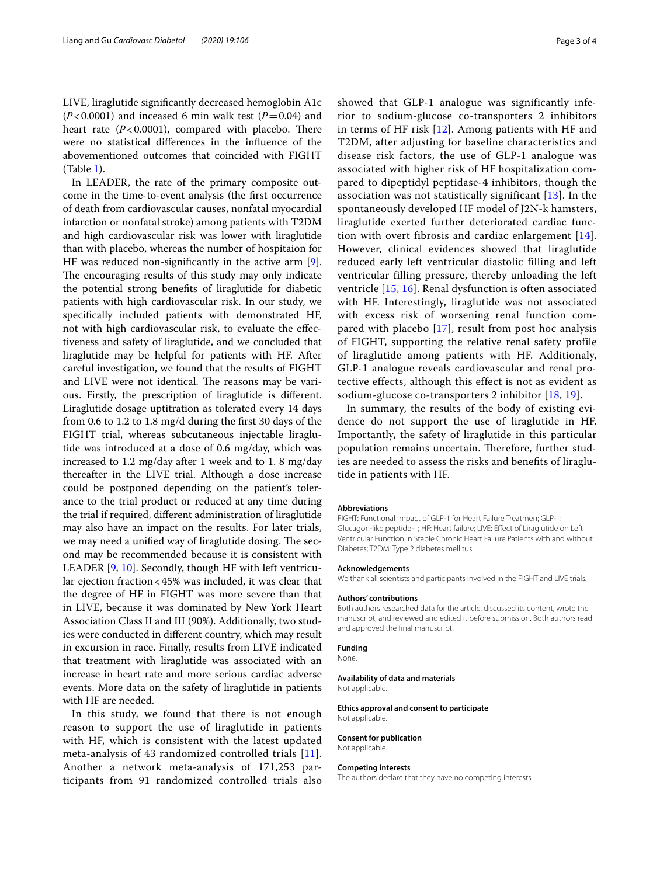LIVE, liraglutide signifcantly decreased hemoglobin A1c  $(P<0.0001)$  and inceased 6 min walk test  $(P=0.04)$  and heart rate  $(P<0.0001)$ , compared with placebo. There were no statistical diferences in the infuence of the abovementioned outcomes that coincided with FIGHT (Table [1](#page-1-0)).

In LEADER, the rate of the primary composite outcome in the time-to-event analysis (the frst occurrence of death from cardiovascular causes, nonfatal myocardial infarction or nonfatal stroke) among patients with T2DM and high cardiovascular risk was lower with liraglutide than with placebo, whereas the number of hospitaion for HF was reduced non-signifcantly in the active arm [\[9](#page-3-8)]. The encouraging results of this study may only indicate the potential strong benefts of liraglutide for diabetic patients with high cardiovascular risk. In our study, we specifcally included patients with demonstrated HF, not with high cardiovascular risk, to evaluate the efectiveness and safety of liraglutide, and we concluded that liraglutide may be helpful for patients with HF. After careful investigation, we found that the results of FIGHT and LIVE were not identical. The reasons may be various. Firstly, the prescription of liraglutide is diferent. Liraglutide dosage uptitration as tolerated every 14 days from 0.6 to 1.2 to 1.8 mg/d during the frst 30 days of the FIGHT trial, whereas subcutaneous injectable liraglutide was introduced at a dose of 0.6 mg/day, which was increased to 1.2 mg/day after 1 week and to 1. 8 mg/day thereafter in the LIVE trial. Although a dose increase could be postponed depending on the patient's tolerance to the trial product or reduced at any time during the trial if required, diferent administration of liraglutide may also have an impact on the results. For later trials, we may need a unified way of liraglutide dosing. The second may be recommended because it is consistent with LEADER [[9,](#page-3-8) [10](#page-3-9)]. Secondly, though HF with left ventricular ejection fraction<45% was included, it was clear that the degree of HF in FIGHT was more severe than that in LIVE, because it was dominated by New York Heart Association Class II and III (90%). Additionally, two studies were conducted in diferent country, which may result in excursion in race. Finally, results from LIVE indicated that treatment with liraglutide was associated with an increase in heart rate and more serious cardiac adverse events. More data on the safety of liraglutide in patients with HF are needed.

In this study, we found that there is not enough reason to support the use of liraglutide in patients with HF, which is consistent with the latest updated meta-analysis of 43 randomized controlled trials [[11\]](#page-3-10). Another a network meta-analysis of 171,253 participants from 91 randomized controlled trials also

showed that GLP-1 analogue was significantly inferior to sodium-glucose co-transporters 2 inhibitors in terms of HF risk [[12](#page-3-11)]. Among patients with HF and T2DM, after adjusting for baseline characteristics and disease risk factors, the use of GLP-1 analogue was associated with higher risk of HF hospitalization compared to dipeptidyl peptidase-4 inhibitors, though the association was not statistically significant [[13](#page-3-12)]. In the spontaneously developed HF model of J2N-k hamsters, liraglutide exerted further deteriorated cardiac function with overt fibrosis and cardiac enlargement [[14\]](#page-3-13). However, clinical evidences showed that liraglutide reduced early left ventricular diastolic filling and left ventricular filling pressure, thereby unloading the left ventricle [[15](#page-3-14), [16](#page-3-15)]. Renal dysfunction is often associated with HF. Interestingly, liraglutide was not associated with excess risk of worsening renal function compared with placebo [[17](#page-3-16)], result from post hoc analysis of FIGHT, supporting the relative renal safety profile of liraglutide among patients with HF. Additionaly, GLP-1 analogue reveals cardiovascular and renal protective effects, although this effect is not as evident as sodium-glucose co-transporters 2 inhibitor [[18](#page-3-17), [19](#page-3-18)].

In summary, the results of the body of existing evidence do not support the use of liraglutide in HF. Importantly, the safety of liraglutide in this particular population remains uncertain. Therefore, further studies are needed to assess the risks and benefts of liraglutide in patients with HF.

### **Abbreviations**

FIGHT: Functional Impact of GLP-1 for Heart Failure Treatmen; GLP-1: Glucagon-like peptide-1; HF: Heart failure; LIVE: Efect of Liraglutide on Left Ventricular Function in Stable Chronic Heart Failure Patients with and without Diabetes; T2DM: Type 2 diabetes mellitus.

### **Acknowledgements**

We thank all scientists and participants involved in the FIGHT and LIVE trials.

## **Authors' contributions**

Both authors researched data for the article, discussed its content, wrote the manuscript, and reviewed and edited it before submission. Both authors read and approved the fnal manuscript.

### **Funding**

None.

**Availability of data and materials** Not applicable.

**Ethics approval and consent to participate** Not applicable.

# **Consent for publication**

Not applicable.

### **Competing interests**

The authors declare that they have no competing interests.